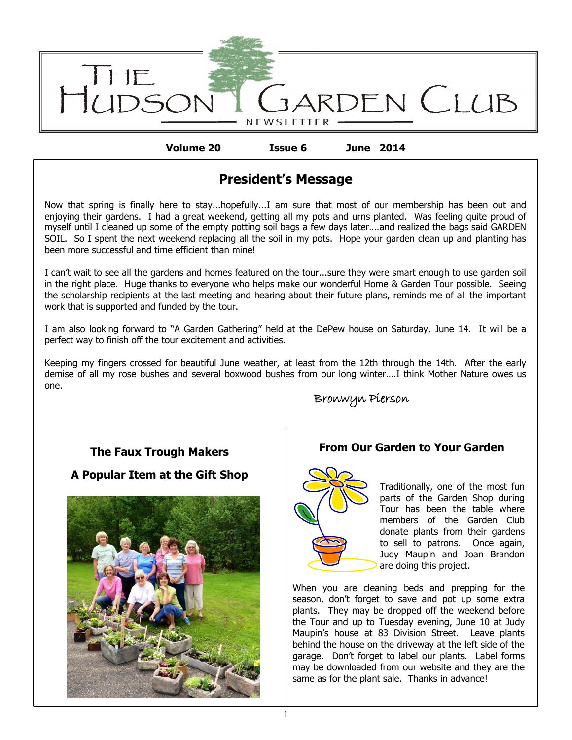

**Volume 20 Issue 6 June 2014**

# **President's Message**

Now that spring is finally here to stay...hopefully...I am sure that most of our membership has been out and enjoying their gardens. I had a great weekend, getting all my pots and urns planted. Was feeling quite proud of myself until I cleaned up some of the empty potting soil bags a few days later….and realized the bags said GARDEN SOIL. So I spent the next weekend replacing all the soil in my pots. Hope your garden clean up and planting has been more successful and time efficient than mine!

I can't wait to see all the gardens and homes featured on the tour...sure they were smart enough to use garden soil in the right place. Huge thanks to everyone who helps make our wonderful Home & Garden Tour possible. Seeing the scholarship recipients at the last meeting and hearing about their future plans, reminds me of all the important work that is supported and funded by the tour.

I am also looking forward to "A Garden Gathering" held at the DePew house on Saturday, June 14. It will be a perfect way to finish off the tour excitement and activities.

Keeping my fingers crossed for beautiful June weather, at least from the 12th through the 14th. After the early demise of all my rose bushes and several boxwood bushes from our long winter….I think Mother Nature owes us one.

# Bronwyn Pierson

## **The Faux Trough Makers**

## **A Popular Item at the Gift Shop**



## **From Our Garden to Your Garden**



Traditionally, one of the most fun parts of the Garden Shop during Tour has been the table where members of the Garden Club donate plants from their gardens to sell to patrons. Once again, Judy Maupin and Joan Brandon are doing this project.

When you are cleaning beds and prepping for the season, don't forget to save and pot up some extra plants. They may be dropped off the weekend before the Tour and up to Tuesday evening, June 10 at Judy Maupin's house at 83 Division Street. Leave plants behind the house on the driveway at the left side of the garage. Don't forget to label our plants. Label forms may be downloaded from our website and they are the same as for the plant sale. Thanks in advance!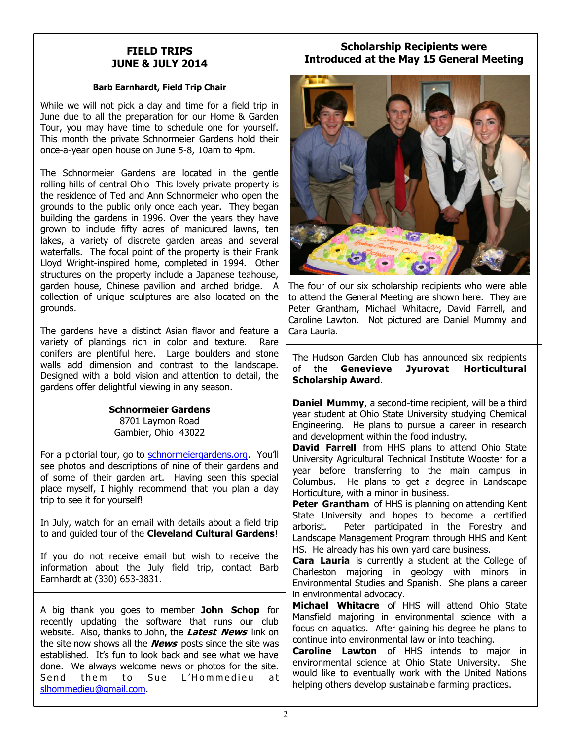### **FIELD TRIPS JUNE & JULY 2014**

### **Barb Earnhardt, Field Trip Chair**

While we will not pick a day and time for a field trip in June due to all the preparation for our Home & Garden Tour, you may have time to schedule one for yourself. This month the private Schnormeier Gardens hold their once-a-year open house on June 5-8, 10am to 4pm.

The Schnormeier Gardens are located in the gentle rolling hills of central Ohio This lovely private property is the residence of Ted and Ann Schnormeier who open the grounds to the public only once each year. They began building the gardens in 1996. Over the years they have grown to include fifty acres of manicured lawns, ten lakes, a variety of discrete garden areas and several waterfalls. The focal point of the property is their Frank Lloyd Wright-inspired home, completed in 1994. Other structures on the property include a Japanese teahouse, garden house, Chinese pavilion and arched bridge. A collection of unique sculptures are also located on the grounds.

The gardens have a distinct Asian flavor and feature a variety of plantings rich in color and texture. Rare conifers are plentiful here. Large boulders and stone walls add dimension and contrast to the landscape. Designed with a bold vision and attention to detail, the gardens offer delightful viewing in any season.

#### **Schnormeier Gardens** 8701 Laymon Road Gambier, Ohio 43022

For a pictorial tour, go to <schnormeiergardens.org>. You'll see photos and descriptions of nine of their gardens and of some of their garden art. Having seen this special place myself, I highly recommend that you plan a day trip to see it for yourself!

In July, watch for an email with details about a field trip to and guided tour of the **Cleveland Cultural Gardens**!

If you do not receive email but wish to receive the information about the July field trip, contact Barb Earnhardt at (330) 653-3831.

A big thank you goes to member **John Schop** for recently updating the software that runs our club website. Also, thanks to John, the **Latest News** link on the site now shows all the **News** posts since the site was established. It's fun to look back and see what we have done. We always welcome news or photos for the site. Send them to Sue L'Hommedieu at [slhommedieu@gmail.com.](mailto:slhommedieu@gmail.com)

### **Scholarship Recipients were Introduced at the May 15 General Meeting**



The four of our six scholarship recipients who were able to attend the General Meeting are shown here. They are Peter Grantham, Michael Whitacre, David Farrell, and Caroline Lawton. Not pictured are Daniel Mummy and Cara Lauria.

The Hudson Garden Club has announced six recipients of the **Genevieve Jyurovat Horticultural Scholarship Award**.

**Daniel Mummy**, a second-time recipient, will be a third year student at Ohio State University studying Chemical Engineering. He plans to pursue a career in research and development within the food industry.

**David Farrell** from HHS plans to attend Ohio State University Agricultural Technical Institute Wooster for a year before transferring to the main campus in Columbus. He plans to get a degree in Landscape Horticulture, with a minor in business.

**Peter Grantham** of HHS is planning on attending Kent State University and hopes to become a certified arborist. Peter participated in the Forestry and Landscape Management Program through HHS and Kent HS. He already has his own yard care business.

**Cara Lauria** is currently a student at the College of Charleston majoring in geology with minors in Environmental Studies and Spanish. She plans a career in environmental advocacy.

**Michael Whitacre** of HHS will attend Ohio State Mansfield majoring in environmental science with a focus on aquatics. After gaining his degree he plans to continue into environmental law or into teaching.

**Caroline Lawton** of HHS intends to major in environmental science at Ohio State University. She would like to eventually work with the United Nations helping others develop sustainable farming practices.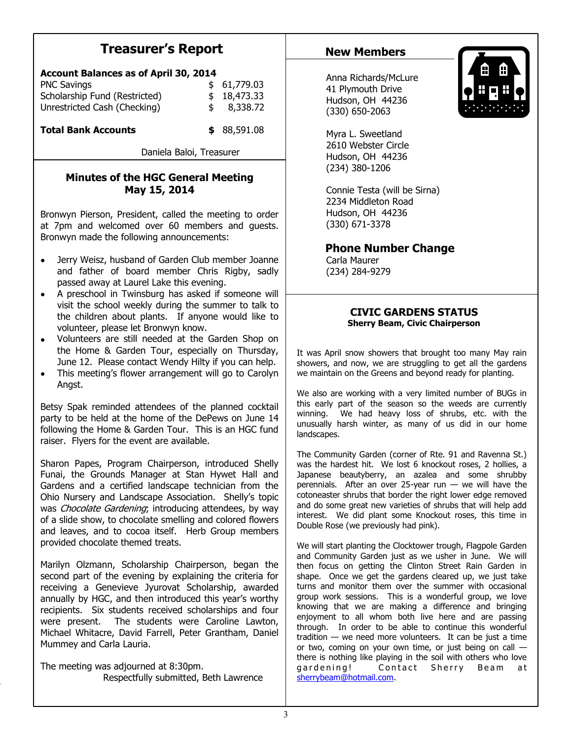# **Treasurer's Report**

| <b>Account Balances as of April 30, 2014</b> |    |             |
|----------------------------------------------|----|-------------|
| <b>PNC Savings</b>                           |    | \$61,779.03 |
| Scholarship Fund (Restricted)                |    | \$18,473.33 |
| Unrestricted Cash (Checking)                 | \$ | 8,338.72    |
|                                              |    |             |

**Total Bank Accounts \$** 88,591.08

Daniela Baloi, Treasurer

### **Minutes of the HGC General Meeting May 15, 2014**

Bronwyn Pierson, President, called the meeting to order at 7pm and welcomed over 60 members and guests. Bronwyn made the following announcements:

- Jerry Weisz, husband of Garden Club member Joanne  $\bullet$ and father of board member Chris Rigby, sadly passed away at Laurel Lake this evening.
- A preschool in Twinsburg has asked if someone will  $\bullet$ visit the school weekly during the summer to talk to the children about plants. If anyone would like to volunteer, please let Bronwyn know.
- $\bullet$ Volunteers are still needed at the Garden Shop on the Home & Garden Tour, especially on Thursday, June 12. Please contact Wendy Hilty if you can help.
- This meeting's flower arrangement will go to Carolyn  $\bullet$ Angst.

Betsy Spak reminded attendees of the planned cocktail party to be held at the home of the DePews on June 14 following the Home & Garden Tour. This is an HGC fund raiser. Flyers for the event are available.

Sharon Papes, Program Chairperson, introduced Shelly Funai, the Grounds Manager at Stan Hywet Hall and Gardens and a certified landscape technician from the Ohio Nursery and Landscape Association. Shelly's topic was Chocolate Gardening; introducing attendees, by way of a slide show, to chocolate smelling and colored flowers and leaves, and to cocoa itself. Herb Group members provided chocolate themed treats.

Marilyn Olzmann, Scholarship Chairperson, began the second part of the evening by explaining the criteria for receiving a Genevieve Jyurovat Scholarship, awarded annually by HGC, and then introduced this year's worthy recipients. Six students received scholarships and four were present. The students were Caroline Lawton, Michael Whitacre, David Farrell, Peter Grantham, Daniel Mummey and Carla Lauria.

The meeting was adjourned at 8:30pm. Respectfully submitted, Beth Lawrence

## **New Members**



Anna Richards/McLure 41 Plymouth Drive Hudson, OH 44236 (330) 650-2063

Myra L. Sweetland 2610 Webster Circle Hudson, OH 44236 (234) 380-1206

Connie Testa (will be Sirna) 2234 Middleton Road Hudson, OH 44236 (330) 671-3378

 **Phone Number Change**

Carla Maurer (234) 284-9279

### **CIVIC GARDENS STATUS Sherry Beam, Civic Chairperson**

It was April snow showers that brought too many May rain showers, and now, we are struggling to get all the gardens we maintain on the Greens and beyond ready for planting.

We also are working with a very limited number of BUGs in this early part of the season so the weeds are currently winning. We had heavy loss of shrubs, etc. with the unusually harsh winter, as many of us did in our home landscapes.

The Community Garden (corner of Rte. 91 and Ravenna St.) was the hardest hit. We lost 6 knockout roses, 2 hollies, a Japanese beautyberry, an azalea and some shrubby perennials. After an over 25-year run  $-$  we will have the cotoneaster shrubs that border the right lower edge removed and do some great new varieties of shrubs that will help add interest. We did plant some Knockout roses, this time in Double Rose (we previously had pink).

We will start planting the Clocktower trough, Flagpole Garden and Community Garden just as we usher in June. We will then focus on getting the Clinton Street Rain Garden in shape. Once we get the gardens cleared up, we just take turns and monitor them over the summer with occasional group work sessions. This is a wonderful group, we love knowing that we are making a difference and bringing enjoyment to all whom both live here and are passing through. In order to be able to continue this wonderful tradition — we need more volunteers. It can be just a time or two, coming on your own time, or just being on call there is nothing like playing in the soil with others who love gardening! Contact Sherry Beam at [sherrybeam@hotmail.com.](mailto:sherrybeam@hotmail.com)